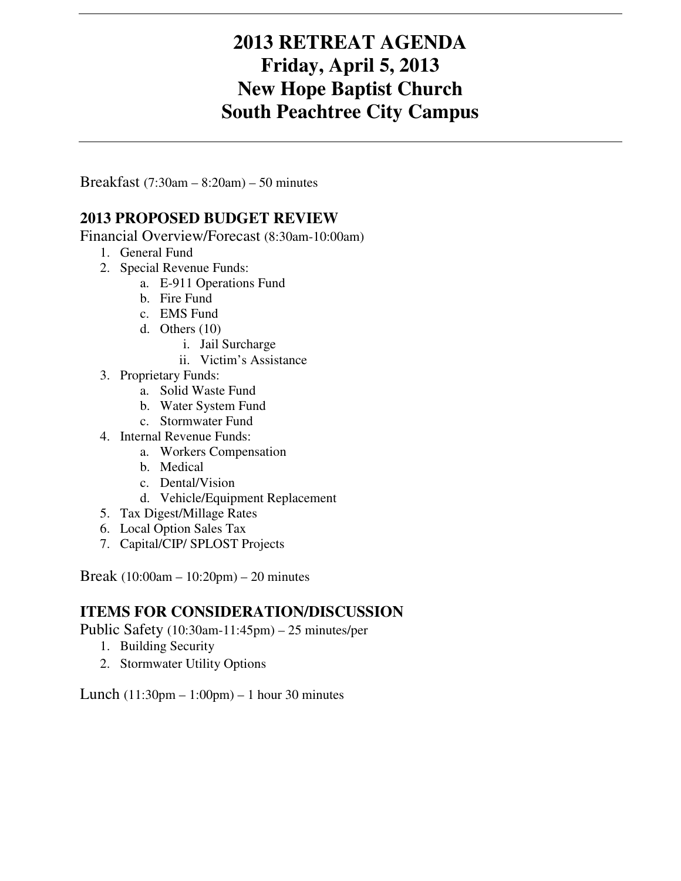## **2013 RETREAT AGENDA Friday, April 5, 2013 New Hope Baptist Church South Peachtree City Campus**

Breakfast (7:30am – 8:20am) – 50 minutes

## **2013 PROPOSED BUDGET REVIEW**

Financial Overview/Forecast (8:30am-10:00am)

- 1. General Fund
- 2. Special Revenue Funds:
	- a. E-911 Operations Fund
	- b. Fire Fund
	- c. EMS Fund
	- d. Others (10)
		- i. Jail Surcharge
		- ii. Victim's Assistance
- 3. Proprietary Funds:
	- a. Solid Waste Fund
	- b. Water System Fund
	- c. Stormwater Fund
- 4. Internal Revenue Funds:
	- a. Workers Compensation
	- b. Medical
	- c. Dental/Vision
	- d. Vehicle/Equipment Replacement
- 5. Tax Digest/Millage Rates
- 6. Local Option Sales Tax
- 7. Capital/CIP/ SPLOST Projects

Break (10:00am – 10:20pm) – 20 minutes

## **ITEMS FOR CONSIDERATION/DISCUSSION**

Public Safety (10:30am-11:45pm) – 25 minutes/per

- 1. Building Security
- 2. Stormwater Utility Options

Lunch (11:30pm – 1:00pm) – 1 hour 30 minutes